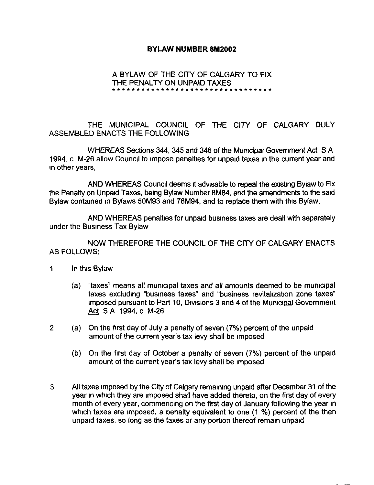## BYLAW NUMBER 8M2002

## A BYLAW OF THE CITY OF CALGARY TO FIX THE PENALTY ON UNPAID TAXES + + a + r + + a f r r f r f s \* r s f f s \* f + \* s + f r r + + +

THE MUNICIPAL COUNCIL OF THE CITY OF CALGARY DULY ASSEMBLED ENACTS THE FOLLOWING

WHEREAS Sections 344, 345 and <sup>346</sup> of the Municipal Government Act S A 1994, c M-26 allow Council to impose penalties for unpaid taxes in the current year and m other years,

AND WHEREAS Council deems it advisable to repeal the existing Bylaw to Fix the Penalty on Unpaid Taxes, being Bylaw Number 8M84, and the amendments to the said Bylaw contained in Bylaws 50M93 and 78M94, and to replace them with this Bylaw,

AND WHEREAS penalties for unpaid business taxes are dealt with separately under the Business Tax Bylaw

NOW THEREFORE THE COUNCIL OF THE CITY OF CALGARY ENACTS AS FOLLOWS:

## <sup>1</sup> In this Bylaw

- (a) "taxes" means all municipal taxes and all amounts deemed to be municipal taxes excluding "business taxes" and "business revitalization zone taxes" imposed pursuant to Part 10, Divisions 3 and 4 of the Municipal Government Act S A 1994, c M-26
- 2 (a) On the first day of July <sup>a</sup> penalty of seven (7%) percent of the unpaid amount of the current year's tax levy shall be imposed
	- (b) On the first day of October a penalty of seven (7%) percent of the unpaid amount of the current year's tax levy shall be imposed
- 3 All taxes imposed by the City of Calgary remaining unpaid after December 31 of the year in which they are imposed shall have added thereto, on the first day of every month of every year, commencing on the first day of January following the year in which taxes are imposed, a penalty equivalent to one (1 %) percent of the then unpaid taxes, so long as the taxes or any portion thereof remain unpaid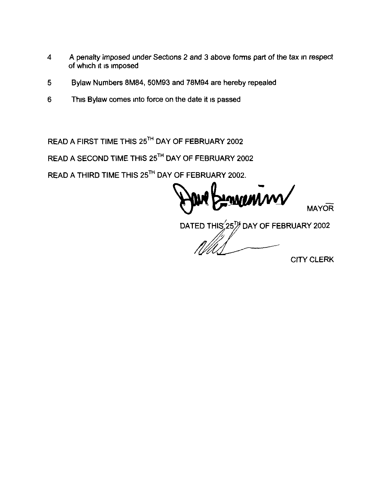- 4 A penalty imposed under Sections 2 and 3 above forms part of the tax in respect of which it is imposed
- 5 Bylaw Numbers 8M84, 50M93 and 78M94 are hereby repealed
- 6 This Bylaw comes into force on the date it is passed

READ A FIRST TIME THIS 25TH DAY OF FEBRUARY 2002

READ A SECOND TIME THIS 25TH DAY OF FEBRUARY 2002

READ A THIRD TIME THIS 25<sup>TH</sup> DAY OF FEBRUARY 2002.

**MAYOR** 

DATED THIS  $25\%$  DAY OF FEBRUARY 2002

CITY CLERK